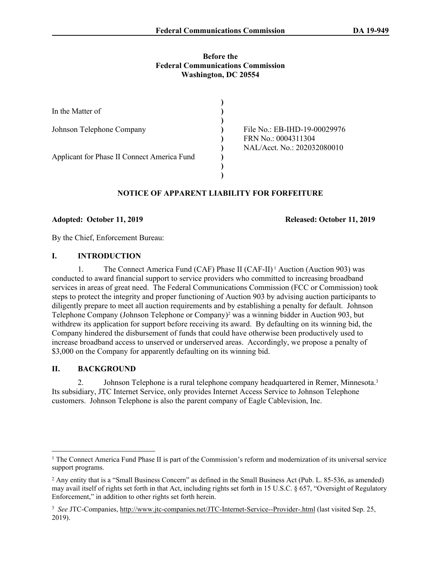## **Before the Federal Communications Commission Washington, DC 20554**

| In the Matter of                            |                                                    |
|---------------------------------------------|----------------------------------------------------|
| Johnson Telephone Company                   | File No.: EB-IHD-19-00029976                       |
|                                             | FRN No.: 0004311304<br>NAL/Acct. No.: 202032080010 |
| Applicant for Phase II Connect America Fund |                                                    |
|                                             |                                                    |

# **NOTICE OF APPARENT LIABILITY FOR FORFEITURE**

## **Adopted: October 11, 2019 Released: October 11, 2019**

By the Chief, Enforcement Bureau:

## **I. INTRODUCTION**

1. The Connect America Fund (CAF) Phase II (CAF-II) 1 Auction (Auction 903) was conducted to award financial support to service providers who committed to increasing broadband services in areas of great need. The Federal Communications Commission (FCC or Commission) took steps to protect the integrity and proper functioning of Auction 903 by advising auction participants to diligently prepare to meet all auction requirements and by establishing a penalty for default. Johnson Telephone Company (Johnson Telephone or Company)<sup>2</sup> was a winning bidder in Auction 903, but withdrew its application for support before receiving its award. By defaulting on its winning bid, the Company hindered the disbursement of funds that could have otherwise been productively used to increase broadband access to unserved or underserved areas. Accordingly, we propose a penalty of \$3,000 on the Company for apparently defaulting on its winning bid.

# **II. BACKGROUND**

2. Johnson Telephone is a rural telephone company headquartered in Remer, Minnesota.<sup>3</sup> Its subsidiary, JTC Internet Service, only provides Internet Access Service to Johnson Telephone customers. Johnson Telephone is also the parent company of Eagle Cablevision, Inc.

<sup>&</sup>lt;sup>1</sup> The Connect America Fund Phase II is part of the Commission's reform and modernization of its universal service support programs.

<sup>&</sup>lt;sup>2</sup> Any entity that is a "Small Business Concern" as defined in the Small Business Act (Pub. L. 85-536, as amended) may avail itself of rights set forth in that Act, including rights set forth in 15 U.S.C. § 657, "Oversight of Regulatory Enforcement," in addition to other rights set forth herein.

<sup>3</sup> *See* JTC-Companies, <http://www.jtc-companies.net/JTC-Internet-Service--Provider-.html>(last visited Sep. 25, 2019).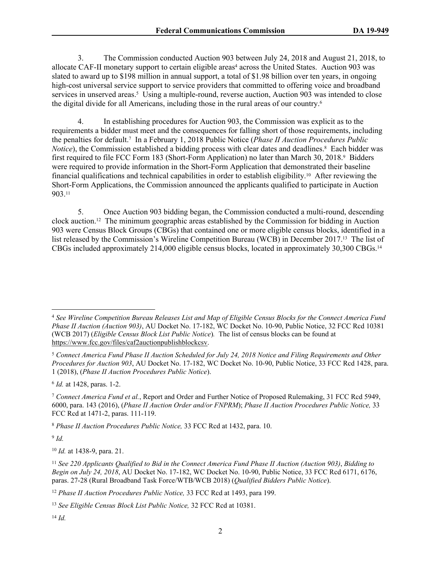3. The Commission conducted Auction 903 between July 24, 2018 and August 21, 2018, to allocate CAF-II monetary support to certain eligible areas<sup>4</sup> across the United States. Auction 903 was slated to award up to \$198 million in annual support, a total of \$1.98 billion over ten years, in ongoing high-cost universal service support to service providers that committed to offering voice and broadband services in unserved areas.<sup>5</sup> Using a multiple-round, reverse auction, Auction 903 was intended to close the digital divide for all Americans, including those in the rural areas of our country.<sup>6</sup>

4. In establishing procedures for Auction 903, the Commission was explicit as to the requirements a bidder must meet and the consequences for falling short of those requirements, including the penalties for default.<sup>7</sup> In a February 1, 2018 Public Notice (*Phase II Auction Procedures Public*  Notice), the Commission established a bidding process with clear dates and deadlines.<sup>8</sup> Each bidder was first required to file FCC Form 183 (Short-Form Application) no later than March 30, 2018.<sup>9</sup> Bidders were required to provide information in the Short-Form Application that demonstrated their baseline financial qualifications and technical capabilities in order to establish eligibility.10 After reviewing the Short-Form Applications, the Commission announced the applicants qualified to participate in Auction 903.<sup>11</sup>

5. Once Auction 903 bidding began, the Commission conducted a multi-round, descending clock auction.12 The minimum geographic areas established by the Commission for bidding in Auction 903 were Census Block Groups (CBGs) that contained one or more eligible census blocks, identified in a list released by the Commission's Wireline Competition Bureau (WCB) in December 2017.13 The list of CBGs included approximately 214,000 eligible census blocks, located in approximately 30,300 CBGs.<sup>14</sup>

6 *Id.* at 1428, paras. 1-2.

<sup>8</sup> *Phase II Auction Procedures Public Notice,* 33 FCC Rcd at 1432, para. 10.

9 *Id.*

<sup>10</sup> *Id.* at 1438-9, para. 21.

<sup>12</sup> *Phase II Auction Procedures Public Notice,* 33 FCC Rcd at 1493, para 199.

<sup>14</sup> *Id.*

<sup>4</sup> *See Wireline Competition Bureau Releases List and Map of Eligible Census Blocks for the Connect America Fund Phase II Auction (Auction 903)*, AU Docket No. 17-182, WC Docket No. 10-90, Public Notice, 32 FCC Rcd 10381 (WCB 2017) (*Eligible Census Block List Public Notice*)*.* The list of census blocks can be found at <https://www.fcc.gov/files/caf2auctionpublishblockcsv>.

<sup>5</sup> *Connect America Fund Phase II Auction Scheduled for July 24, 2018 Notice and Filing Requirements and Other Procedures for Auction 903*, AU Docket No. 17-182, WC Docket No. 10-90, Public Notice, 33 FCC Rcd 1428, para. 1 (2018), (*Phase II Auction Procedures Public Notice*).

<sup>7</sup> *Connect America Fund et al.*, Report and Order and Further Notice of Proposed Rulemaking, 31 FCC Rcd 5949, 6000, para. 143 (2016), (*Phase II Auction Order and/or FNPRM*); *Phase II Auction Procedures Public Notice,* 33 FCC Rcd at 1471-2, paras. 111-119.

<sup>11</sup> *See 220 Applicants Qualified to Bid in the Connect America Fund Phase II Auction (Auction 903)*, *Bidding to Begin on July 24, 2018*, AU Docket No. 17-182, WC Docket No. 10-90, Public Notice, 33 FCC Rcd 6171, 6176, paras. 27-28 (Rural Broadband Task Force/WTB/WCB 2018) (*Qualified Bidders Public Notice*).

<sup>13</sup> *See Eligible Census Block List Public Notice,* 32 FCC Rcd at 10381.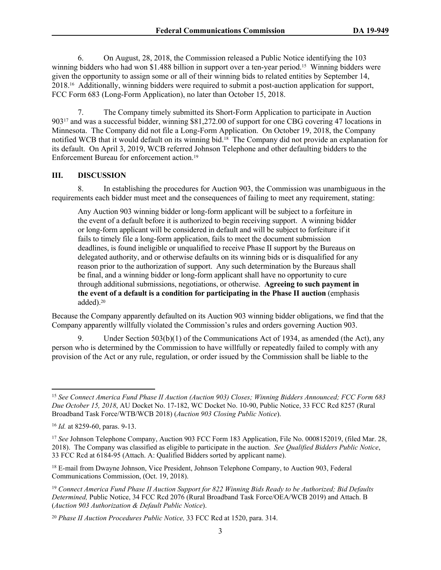6. On August, 28, 2018, the Commission released a Public Notice identifying the 103 winning bidders who had won \$1.488 billion in support over a ten-year period.<sup>15</sup> Winning bidders were given the opportunity to assign some or all of their winning bids to related entities by September 14, 2018.16 Additionally, winning bidders were required to submit a post-auction application for support, FCC Form 683 (Long-Form Application), no later than October 15, 2018.

7. The Company timely submitted its Short-Form Application to participate in Auction 90317 and was a successful bidder, winning \$81,272.00 of support for one CBG covering 47 locations in Minnesota. The Company did not file a Long-Form Application. On October 19, 2018, the Company notified WCB that it would default on its winning bid.18 The Company did not provide an explanation for its default. On April 3, 2019, WCB referred Johnson Telephone and other defaulting bidders to the Enforcement Bureau for enforcement action.<sup>19</sup>

#### **III. DISCUSSION**

8. In establishing the procedures for Auction 903, the Commission was unambiguous in the requirements each bidder must meet and the consequences of failing to meet any requirement, stating:

Any Auction 903 winning bidder or long-form applicant will be subject to a forfeiture in the event of a default before it is authorized to begin receiving support. A winning bidder or long-form applicant will be considered in default and will be subject to forfeiture if it fails to timely file a long-form application, fails to meet the document submission deadlines, is found ineligible or unqualified to receive Phase II support by the Bureaus on delegated authority, and or otherwise defaults on its winning bids or is disqualified for any reason prior to the authorization of support. Any such determination by the Bureaus shall be final, and a winning bidder or long-form applicant shall have no opportunity to cure through additional submissions, negotiations, or otherwise. **Agreeing to such payment in the event of a default is a condition for participating in the Phase II auction** (emphasis added).<sup>20</sup>

Because the Company apparently defaulted on its Auction 903 winning bidder obligations, we find that the Company apparently willfully violated the Commission's rules and orders governing Auction 903.

9. Under Section 503(b)(1) of the Communications Act of 1934, as amended (the Act), any person who is determined by the Commission to have willfully or repeatedly failed to comply with any provision of the Act or any rule, regulation, or order issued by the Commission shall be liable to the

<sup>15</sup> *See Connect America Fund Phase II Auction (Auction 903) Closes; Winning Bidders Announced; FCC Form 683 Due October 15, 2018*, AU Docket No. 17-182, WC Docket No. 10-90, Public Notice, 33 FCC Rcd 8257 (Rural Broadband Task Force/WTB/WCB 2018) (*Auction 903 Closing Public Notice*).

<sup>16</sup> *Id.* at 8259-60, paras. 9-13.

<sup>&</sup>lt;sup>17</sup> See Johnson Telephone Company, Auction 903 FCC Form 183 Application, File No. 0008152019, (filed Mar. 28, 2018). The Company was classified as eligible to participate in the auction. *See Qualified Bidders Public Notice*, 33 FCC Rcd at 6184-95 (Attach. A: Qualified Bidders sorted by applicant name).

<sup>&</sup>lt;sup>18</sup> E-mail from Dwayne Johnson, Vice President, Johnson Telephone Company, to Auction 903, Federal Communications Commission, (Oct. 19, 2018).

<sup>19</sup> *Connect America Fund Phase II Auction Support for 822 Winning Bids Ready to be Authorized; Bid Defaults Determined,* Public Notice, 34 FCC Rcd 2076 (Rural Broadband Task Force/OEA/WCB 2019) and Attach. B (*Auction 903 Authorization & Default Public Notice*).

<sup>20</sup> *Phase II Auction Procedures Public Notice,* 33 FCC Rcd at 1520, para. 314.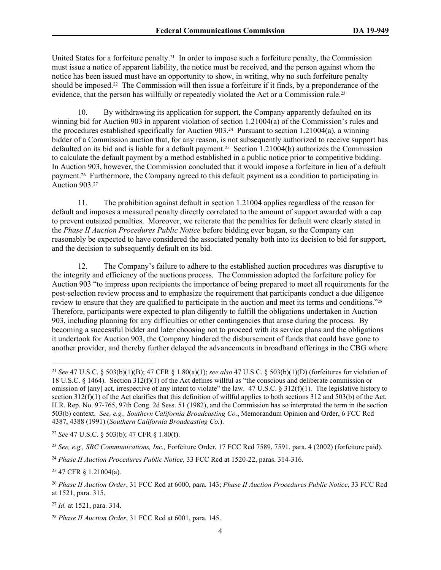United States for a forfeiture penalty.21 In order to impose such a forfeiture penalty, the Commission must issue a notice of apparent liability, the notice must be received, and the person against whom the notice has been issued must have an opportunity to show, in writing, why no such forfeiture penalty should be imposed.22 The Commission will then issue a forfeiture if it finds, by a preponderance of the evidence, that the person has willfully or repeatedly violated the Act or a Commission rule.<sup>23</sup>

10. By withdrawing its application for support, the Company apparently defaulted on its winning bid for Auction 903 in apparent violation of section 1.21004(a) of the Commission's rules and the procedures established specifically for Auction 903.24 Pursuant to section 1.21004(a), a winning bidder of a Commission auction that, for any reason, is not subsequently authorized to receive support has defaulted on its bid and is liable for a default payment.25 Section 1.21004(b) authorizes the Commission to calculate the default payment by a method established in a public notice prior to competitive bidding. In Auction 903, however, the Commission concluded that it would impose a forfeiture in lieu of a default payment.26 Furthermore, the Company agreed to this default payment as a condition to participating in Auction 903.<sup>27</sup>

11. The prohibition against default in section 1.21004 applies regardless of the reason for default and imposes a measured penalty directly correlated to the amount of support awarded with a cap to prevent outsized penalties. Moreover, we reiterate that the penalties for default were clearly stated in the *Phase II Auction Procedures Public Notice* before bidding ever began, so the Company can reasonably be expected to have considered the associated penalty both into its decision to bid for support, and the decision to subsequently default on its bid.

12. The Company's failure to adhere to the established auction procedures was disruptive to the integrity and efficiency of the auctions process. The Commission adopted the forfeiture policy for Auction 903 "to impress upon recipients the importance of being prepared to meet all requirements for the post-selection review process and to emphasize the requirement that participants conduct a due diligence review to ensure that they are qualified to participate in the auction and meet its terms and conditions."28 Therefore, participants were expected to plan diligently to fulfill the obligations undertaken in Auction 903, including planning for any difficulties or other contingencies that arose during the process. By becoming a successful bidder and later choosing not to proceed with its service plans and the obligations it undertook for Auction 903, the Company hindered the disbursement of funds that could have gone to another provider, and thereby further delayed the advancements in broadband offerings in the CBG where

<sup>22</sup> *See* 47 U.S.C. § 503(b); 47 CFR § 1.80(f).

<sup>21</sup> *See* 47 U.S.C. § 503(b)(1)(B); 47 CFR § 1.80(a)(1); *see also* 47 U.S.C. § 503(b)(1)(D) (forfeitures for violation of 18 U.S.C. § 1464). Section 312(f)(1) of the Act defines willful as "the conscious and deliberate commission or omission of [any] act, irrespective of any intent to violate" the law. 47 U.S.C. § 312(f)(1). The legislative history to section  $312(f)(1)$  of the Act clarifies that this definition of willful applies to both sections 312 and 503(b) of the Act, H.R. Rep. No. 97-765, 97th Cong. 2d Sess. 51 (1982), and the Commission has so interpreted the term in the section 503(b) context. *See, e.g., Southern California Broadcasting Co.*, Memorandum Opinion and Order, 6 FCC Rcd 4387, 4388 (1991) (*Southern California Broadcasting Co.*).

<sup>23</sup> *See, e.g., SBC Communications, Inc.,* Forfeiture Order, 17 FCC Rcd 7589, 7591, para. 4 (2002) (forfeiture paid).

<sup>24</sup> *Phase II Auction Procedures Public Notice,* 33 FCC Rcd at 1520-22, paras. 314-316.

<sup>25</sup> 47 CFR § 1.21004(a).

<sup>26</sup> *Phase II Auction Order*, 31 FCC Rcd at 6000, para. 143; *Phase II Auction Procedures Public Notice*, 33 FCC Rcd at 1521, para. 315.

<sup>27</sup> *Id.* at 1521, para. 314.

<sup>28</sup> *Phase II Auction Order*, 31 FCC Rcd at 6001, para. 145.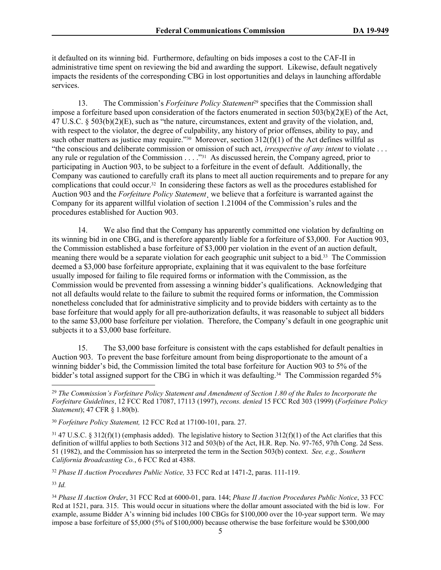it defaulted on its winning bid. Furthermore, defaulting on bids imposes a cost to the CAF-II in administrative time spent on reviewing the bid and awarding the support. Likewise, default negatively impacts the residents of the corresponding CBG in lost opportunities and delays in launching affordable services.

13. The Commission's *Forfeiture Policy Statement*29 specifies that the Commission shall impose a forfeiture based upon consideration of the factors enumerated in section 503(b)(2)(E) of the Act, 47 U.S.C. § 503(b)(2)(E), such as "the nature, circumstances, extent and gravity of the violation, and, with respect to the violator, the degree of culpability, any history of prior offenses, ability to pay, and such other matters as justice may require."<sup>30</sup> Moreover, section 312(f)(1) of the Act defines willful as "the conscious and deliberate commission or omission of such act, *irrespective of any intent* to violate . . . any rule or regulation of the Commission . . . . "31 As discussed herein, the Company agreed, prior to participating in Auction 903, to be subject to a forfeiture in the event of default. Additionally, the Company was cautioned to carefully craft its plans to meet all auction requirements and to prepare for any complications that could occur.32 In considering these factors as well as the procedures established for Auction 903 and the *Forfeiture Policy Statement*¸ we believe that a forfeiture is warranted against the Company for its apparent willful violation of section 1.21004 of the Commission's rules and the procedures established for Auction 903.

14. We also find that the Company has apparently committed one violation by defaulting on its winning bid in one CBG, and is therefore apparently liable for a forfeiture of \$3,000. For Auction 903, the Commission established a base forfeiture of \$3,000 per violation in the event of an auction default, meaning there would be a separate violation for each geographic unit subject to a bid.33 The Commission deemed a \$3,000 base forfeiture appropriate, explaining that it was equivalent to the base forfeiture usually imposed for failing to file required forms or information with the Commission, as the Commission would be prevented from assessing a winning bidder's qualifications. Acknowledging that not all defaults would relate to the failure to submit the required forms or information, the Commission nonetheless concluded that for administrative simplicity and to provide bidders with certainty as to the base forfeiture that would apply for all pre-authorization defaults, it was reasonable to subject all bidders to the same \$3,000 base forfeiture per violation. Therefore, the Company's default in one geographic unit subjects it to a \$3,000 base forfeiture.

15. The \$3,000 base forfeiture is consistent with the caps established for default penalties in Auction 903. To prevent the base forfeiture amount from being disproportionate to the amount of a winning bidder's bid, the Commission limited the total base forfeiture for Auction 903 to 5% of the bidder's total assigned support for the CBG in which it was defaulting.<sup>34</sup> The Commission regarded 5%

 $31\,47\,$  U.S.C. §  $312(f)(1)$  (emphasis added). The legislative history to Section  $312(f)(1)$  of the Act clarifies that this definition of willful applies to both Sections 312 and 503(b) of the Act, H.R. Rep. No. 97-765, 97th Cong. 2d Sess. 51 (1982), and the Commission has so interpreted the term in the Section 503(b) context. *See, e.g., Southern California Broadcasting Co.*, 6 FCC Rcd at 4388.

<sup>32</sup> *Phase II Auction Procedures Public Notice,* 33 FCC Rcd at 1471-2, paras. 111-119.

<sup>33</sup> *Id.*

<sup>29</sup> *The Commission's Forfeiture Policy Statement and Amendment of Section 1.80 of the Rules to Incorporate the Forfeiture Guidelines*, 12 FCC Rcd 17087, 17113 (1997), *recons. denied* 15 FCC Rcd 303 (1999) (*Forfeiture Policy Statement*); 47 CFR § 1.80(b).

<sup>30</sup> *Forfeiture Policy Statement,* 12 FCC Rcd at 17100-101, para. 27.

<sup>34</sup> *Phase II Auction Order*, 31 FCC Rcd at 6000-01, para. 144; *Phase II Auction Procedures Public Notice*, 33 FCC Rcd at 1521, para. 315. This would occur in situations where the dollar amount associated with the bid is low. For example, assume Bidder A's winning bid includes 100 CBGs for \$100,000 over the 10-year support term. We may impose a base forfeiture of \$5,000 (5% of \$100,000) because otherwise the base forfeiture would be \$300,000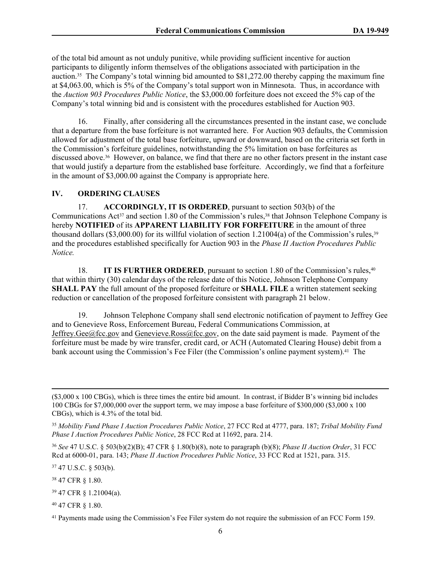of the total bid amount as not unduly punitive, while providing sufficient incentive for auction participants to diligently inform themselves of the obligations associated with participation in the auction.35 The Company's total winning bid amounted to \$81,272.00 thereby capping the maximum fine at \$4,063.00, which is 5% of the Company's total support won in Minnesota. Thus, in accordance with the *Auction 903 Procedures Public Notice*, the \$3,000.00 forfeiture does not exceed the 5% cap of the Company's total winning bid and is consistent with the procedures established for Auction 903.

16. Finally, after considering all the circumstances presented in the instant case, we conclude that a departure from the base forfeiture is not warranted here. For Auction 903 defaults, the Commission allowed for adjustment of the total base forfeiture, upward or downward, based on the criteria set forth in the Commission's forfeiture guidelines, notwithstanding the 5% limitation on base forfeitures as discussed above.36 However, on balance, we find that there are no other factors present in the instant case that would justify a departure from the established base forfeiture. Accordingly, we find that a forfeiture in the amount of \$3,000.00 against the Company is appropriate here.

## **IV. ORDERING CLAUSES**

17. **ACCORDINGLY, IT IS ORDERED**, pursuant to section 503(b) of the Communications  $Act^{37}$  and section 1.80 of the Commission's rules,<sup>38</sup> that Johnson Telephone Company is hereby **NOTIFIED** of its **APPARENT LIABILITY FOR FORFEITURE** in the amount of three thousand dollars (\$3,000.00) for its willful violation of section 1.21004(a) of the Commission's rules,<sup>39</sup> and the procedures established specifically for Auction 903 in the *Phase II Auction Procedures Public Notice.*

18. **IT IS FURTHER ORDERED**, pursuant to section 1.80 of the Commission's rules,<sup>40</sup> that within thirty (30) calendar days of the release date of this Notice, Johnson Telephone Company **SHALL PAY** the full amount of the proposed forfeiture or **SHALL FILE** a written statement seeking reduction or cancellation of the proposed forfeiture consistent with paragraph 21 below.

19. Johnson Telephone Company shall send electronic notification of payment to Jeffrey Gee and to Genevieve Ross, Enforcement Bureau, Federal Communications Commission, at Jeffrey.Gee@fcc.gov and Genevieve.Ross@fcc.gov, on the date said payment is made. Payment of the forfeiture must be made by wire transfer, credit card, or ACH (Automated Clearing House) debit from a bank account using the Commission's Fee Filer (the Commission's online payment system).<sup>41</sup> The

<sup>36</sup> *See* 47 U.S.C. § 503(b)(2)(B); 47 CFR § 1.80(b)(8), note to paragraph (b)(8); *Phase II Auction Order*, 31 FCC Rcd at 6000-01, para. 143; *Phase II Auction Procedures Public Notice*, 33 FCC Rcd at 1521, para. 315.

<sup>37</sup> 47 U.S.C. § 503(b).

<sup>38</sup> 47 CFR § 1.80.

<sup>39</sup> 47 CFR § 1.21004(a).

<sup>40</sup> 47 CFR § 1.80.

<sup>(\$3,000</sup> x 100 CBGs), which is three times the entire bid amount. In contrast, if Bidder B's winning bid includes 100 CBGs for \$7,000,000 over the support term, we may impose a base forfeiture of \$300,000 (\$3,000 x 100 CBGs), which is 4.3% of the total bid.

<sup>35</sup> *Mobility Fund Phase I Auction Procedures Public Notice*, 27 FCC Rcd at 4777, para. 187; *Tribal Mobility Fund Phase I Auction Procedures Public Notice*, 28 FCC Rcd at 11692, para. 214.

<sup>&</sup>lt;sup>41</sup> Payments made using the Commission's Fee Filer system do not require the submission of an FCC Form 159.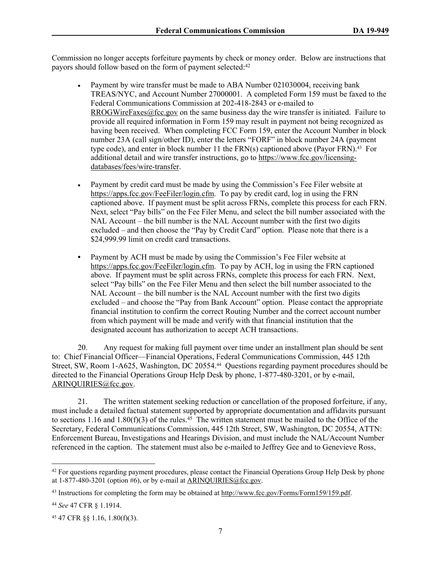Commission no longer accepts forfeiture payments by check or money order. Below are instructions that payors should follow based on the form of payment selected:<sup>42</sup>

- Payment by wire transfer must be made to ABA Number 021030004, receiving bank TREAS/NYC, and Account Number 27000001. A completed Form 159 must be faxed to the Federal Communications Commission at 202-418-2843 or e-mailed to RROGWireFaxes@fcc.gov on the same business day the wire transfer is initiated. Failure to provide all required information in Form 159 may result in payment not being recognized as having been received. When completing FCC Form 159, enter the Account Number in block number 23A (call sign/other ID), enter the letters "FORF" in block number 24A (payment type code), and enter in block number 11 the  $FRN(s)$  captioned above (Payor  $FRN$ ).<sup>43</sup> For additional detail and wire transfer instructions, go to [https://www.fcc.gov/licensing](https://www.fcc.gov/licensing-databases/fees/wire-transfer)[databases/fees/wire-transfer.](https://www.fcc.gov/licensing-databases/fees/wire-transfer)
- Payment by credit card must be made by using the Commission's Fee Filer website at <https://apps.fcc.gov/FeeFiler/login.cfm>. To pay by credit card, log in using the FRN captioned above. If payment must be split across FRNs, complete this process for each FRN. Next, select "Pay bills" on the Fee Filer Menu, and select the bill number associated with the NAL Account – the bill number is the NAL Account number with the first two digits excluded – and then choose the "Pay by Credit Card" option. Please note that there is a \$24,999.99 limit on credit card transactions.
- **•** Payment by ACH must be made by using the Commission's Fee Filer website at <https://apps.fcc.gov/FeeFiler/login.cfm>. To pay by ACH, log in using the FRN captioned above. If payment must be split across FRNs, complete this process for each FRN. Next, select "Pay bills" on the Fee Filer Menu and then select the bill number associated to the NAL Account – the bill number is the NAL Account number with the first two digits excluded – and choose the "Pay from Bank Account" option. Please contact the appropriate financial institution to confirm the correct Routing Number and the correct account number from which payment will be made and verify with that financial institution that the designated account has authorization to accept ACH transactions.

20. Any request for making full payment over time under an installment plan should be sent to: Chief Financial Officer—Financial Operations, Federal Communications Commission, 445 12th Street, SW, Room 1-A625, Washington, DC 20554.44 Questions regarding payment procedures should be directed to the Financial Operations Group Help Desk by phone, 1-877-480-3201, or by e-mail, ARINQUIRIES@fcc.gov.

21. The written statement seeking reduction or cancellation of the proposed forfeiture, if any, must include a detailed factual statement supported by appropriate documentation and affidavits pursuant to sections 1.16 and 1.80(f)(3) of the rules.<sup>45</sup> The written statement must be mailed to the Office of the Secretary, Federal Communications Commission, 445 12th Street, SW, Washington, DC 20554, ATTN: Enforcement Bureau, Investigations and Hearings Division, and must include the NAL/Account Number referenced in the caption. The statement must also be e-mailed to Jeffrey Gee and to Genevieve Ross,

<sup>&</sup>lt;sup>42</sup> For questions regarding payment procedures, please contact the Financial Operations Group Help Desk by phone at  $1-877-480-3201$  (option #6), or by e-mail at ARINOUIRIES@fcc.gov.

<sup>43</sup> Instructions for completing the form may be obtained at<http://www.fcc.gov/Forms/Form159/159.pdf>.

<sup>44</sup> *See* 47 CFR § 1.1914.

<sup>45</sup> 47 CFR §§ 1.16, 1.80(f)(3).